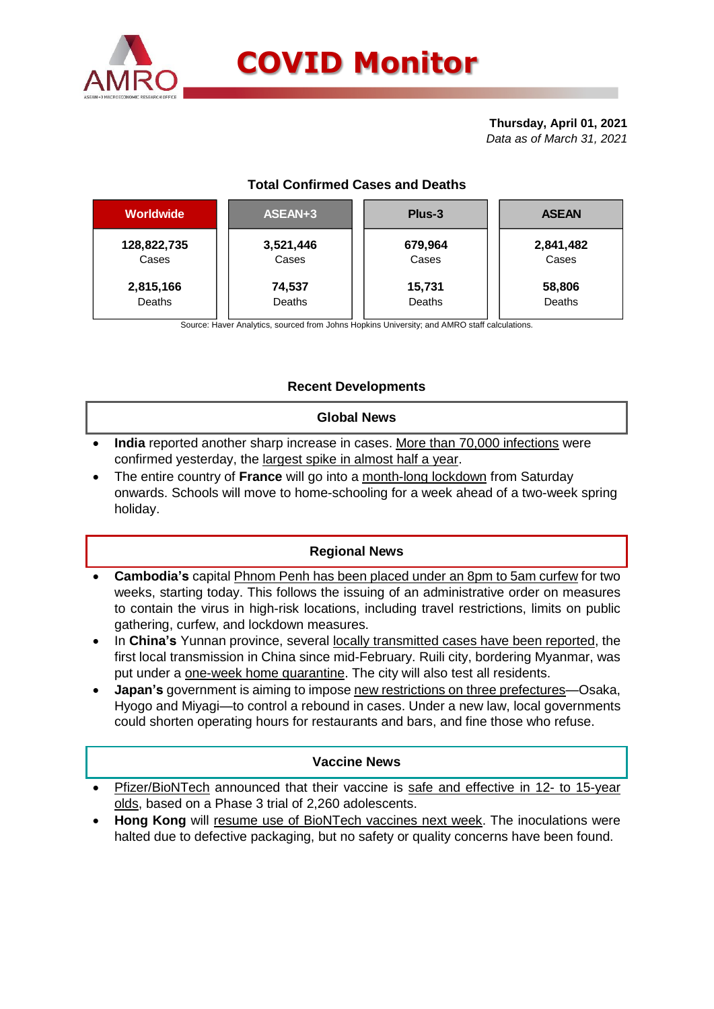

#### **Thursday, April 01, 2021** *Data as of March 31, 2021*

# **Total Confirmed Cases and Deaths**

| <b>Worldwide</b> | ASEAN+3   | Plus-3  | <b>ASEAN</b> |  |  |
|------------------|-----------|---------|--------------|--|--|
| 128,822,735      | 3,521,446 | 679,964 | 2,841,482    |  |  |
| Cases            | Cases     | Cases   | Cases        |  |  |
| 2,815,166        | 74,537    | 15,731  | 58,806       |  |  |
| Deaths           | Deaths    | Deaths  | Deaths       |  |  |

Source: Haver Analytics, sourced from Johns Hopkins University; and AMRO staff calculations.

# **Recent Developments**

### **Global News**

- **India** reported another sharp increase in cases. More than 70,000 infections were confirmed yesterday, the largest spike in almost half a year.
- The entire country of **France** will go into a month-long lockdown from Saturday onwards. Schools will move to home-schooling for a week ahead of a two-week spring holiday.

## **Regional News**

- **Cambodia's** capital Phnom Penh has been placed under an 8pm to 5am curfew for two weeks, starting today. This follows the issuing of an administrative order on measures to contain the virus in high-risk locations, including travel restrictions, limits on public gathering, curfew, and lockdown measures.
- In **China's** Yunnan province, several locally transmitted cases have been reported, the first local transmission in China since mid-February. Ruili city, bordering Myanmar, was put under a one-week home quarantine. The city will also test all residents.
- **Japan's** government is aiming to impose new restrictions on three prefectures—Osaka, Hyogo and Miyagi—to control a rebound in cases. Under a new law, local governments could shorten operating hours for restaurants and bars, and fine those who refuse.

## **Vaccine News**

- Pfizer/BioNTech announced that their vaccine is safe and effective in 12- to 15-year olds, based on a Phase 3 trial of 2,260 adolescents.
- **Hong Kong** will resume use of BioNTech vaccines next week. The inoculations were halted due to defective packaging, but no safety or quality concerns have been found.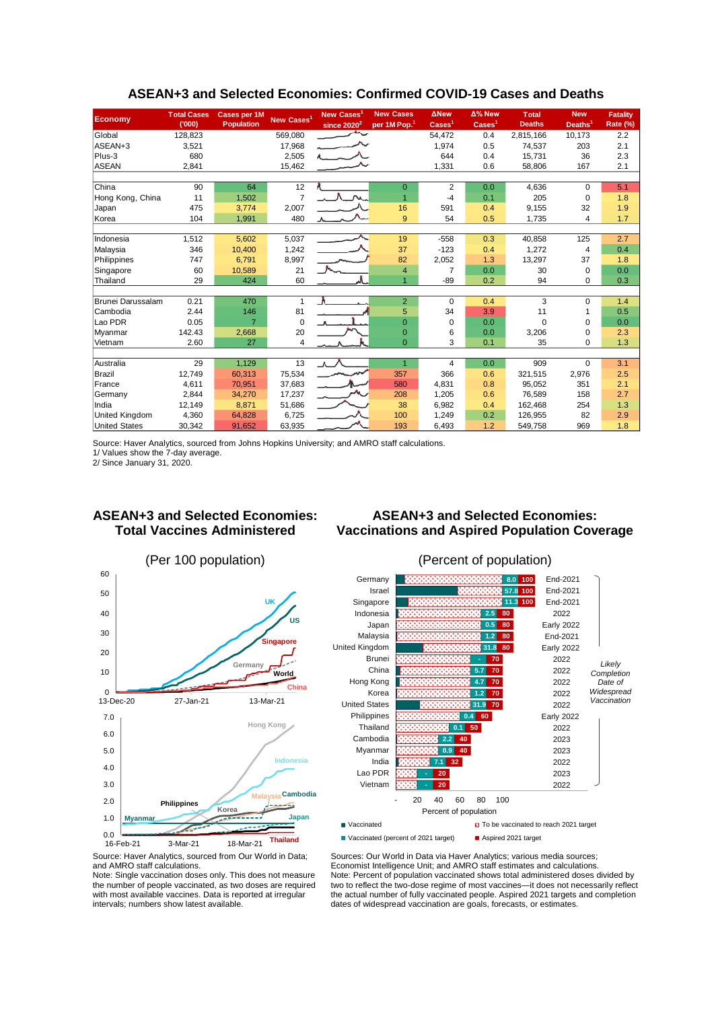| <b>Economy</b>           | <b>Total Cases</b><br>(000) | <b>Cases per 1M</b><br><b>Population</b> | New Cases <sup>1</sup> | New Cases<br>since $2020^2$ | <b>New Cases</b><br>per 1M Pop. <sup>1</sup> | <b>ANew</b><br>$\text{Case} \text{s}^1$ | $\Delta$ % New<br>$\text{Case} \mathsf{s}^1$ | <b>Total</b><br><b>Deaths</b> | <b>New</b><br>Deaths <sup>1</sup> | <b>Fatality</b><br>Rate (%) |
|--------------------------|-----------------------------|------------------------------------------|------------------------|-----------------------------|----------------------------------------------|-----------------------------------------|----------------------------------------------|-------------------------------|-----------------------------------|-----------------------------|
| Global                   | 128,823                     |                                          | 569,080                |                             |                                              | 54,472                                  | 0.4                                          | 2,815,166                     | 10,173                            | 2.2                         |
| ASEAN+3                  | 3,521                       |                                          | 17,968                 |                             |                                              | 1,974                                   | 0.5                                          | 74,537                        | 203                               | 2.1                         |
| Plus-3                   | 680                         |                                          | 2,505                  |                             |                                              | 644                                     | 0.4                                          | 15.731                        | 36                                | 2.3                         |
| <b>ASEAN</b>             | 2,841                       |                                          | 15,462                 |                             |                                              | 1,331                                   | 0.6                                          | 58,806                        | 167                               | 2.1                         |
|                          |                             |                                          |                        |                             |                                              |                                         |                                              |                               |                                   |                             |
| China                    | 90                          | 64                                       | 12                     |                             | $\overline{0}$                               | $\overline{2}$                          | 0.0                                          | 4,636                         | $\Omega$                          | 5.1                         |
| Hong Kong, China         | 11                          | 1,502                                    | $\overline{7}$         |                             | $\overline{1}$                               | $-4$                                    | 0.1                                          | 205                           | $\Omega$                          | 1.8                         |
| Japan                    | 475                         | 3,774                                    | 2,007                  |                             | 16                                           | 591                                     | 0.4                                          | 9,155                         | 32                                | 1.9                         |
| Korea                    | 104                         | 1,991                                    | 480                    |                             | 9                                            | 54                                      | 0.5                                          | 1,735                         | 4                                 | 1.7                         |
|                          |                             |                                          |                        |                             |                                              |                                         |                                              |                               |                                   |                             |
| Indonesia                | 1,512                       | 5,602                                    | 5,037                  |                             | 19                                           | $-558$                                  | 0.3                                          | 40,858                        | 125                               | 2.7                         |
| Malaysia                 | 346                         | 10,400                                   | 1,242                  |                             | 37                                           | $-123$                                  | 0.4                                          | 1,272                         | $\overline{4}$                    | 0.4                         |
| Philippines              | 747                         | 6,791                                    | 8,997                  |                             | 82                                           | 2,052                                   | 1.3                                          | 13,297                        | 37                                | 1.8                         |
| Singapore                | 60                          | 10,589                                   | 21                     |                             | $\overline{4}$                               | 7                                       | 0.0                                          | 30                            | $\Omega$                          | 0.0                         |
| Thailand                 | 29                          | 424                                      | 60                     |                             | $\overline{1}$                               | $-89$                                   | 0.2                                          | 94                            | $\mathbf 0$                       | 0.3                         |
|                          |                             |                                          |                        |                             |                                              |                                         |                                              |                               |                                   |                             |
| <b>Brunei Darussalam</b> | 0.21                        | 470                                      | $\mathbf{1}$           | A                           | $\overline{2}$                               | $\Omega$                                | 0.4                                          | 3                             | $\Omega$                          | 1.4                         |
| Cambodia                 | 2.44                        | 146                                      | 81                     |                             | 5                                            | 34                                      | 3.9                                          | 11                            |                                   | 0.5                         |
| Lao PDR                  | 0.05                        | $\overline{7}$                           | $\mathbf 0$            |                             | $\overline{0}$                               | $\Omega$                                | 0.0                                          | $\Omega$                      | $\Omega$                          | 0.0                         |
| Myanmar                  | 142.43                      | 2,668                                    | 20                     |                             | $\mathbf 0$                                  | 6                                       | 0.0                                          | 3,206                         | 0                                 | 2.3                         |
| Vietnam                  | 2.60                        | 27                                       | $\overline{4}$         |                             | $\Omega$                                     | 3                                       | 0.1                                          | 35                            | $\Omega$                          | 1.3                         |
|                          |                             |                                          |                        |                             |                                              |                                         |                                              |                               |                                   |                             |
| Australia                | 29                          | 1,129                                    | 13                     |                             | $\overline{1}$                               | 4                                       | 0.0                                          | 909                           | $\Omega$                          | 3.1                         |
| <b>Brazil</b>            | 12,749                      | 60,313                                   | 75,534                 |                             | 357                                          | 366                                     | 0.6                                          | 321,515                       | 2,976                             | 2.5                         |
| France                   | 4,611                       | 70,951                                   | 37,683                 |                             | 580                                          | 4.831                                   | 0.8                                          | 95.052                        | 351                               | 2.1                         |
| Germany                  | 2,844                       | 34,270                                   | 17,237                 |                             | 208                                          | 1,205                                   | 0.6                                          | 76,589                        | 158                               | 2.7                         |
| India                    | 12,149                      | 8,871                                    | 51,686                 |                             | 38                                           | 6,982                                   | 0.4                                          | 162.468                       | 254                               | 1.3                         |
| <b>United Kingdom</b>    | 4,360                       | 64,828                                   | 6,725                  |                             | 100                                          | 1,249                                   | 0.2                                          | 126,955                       | 82                                | 2.9                         |
| <b>United States</b>     | 30,342                      | 91,652                                   | 63,935                 |                             | 193                                          | 6,493                                   | 1.2                                          | 549,758                       | 969                               | 1.8                         |

#### **ASEAN+3 and Selected Economies: Confirmed COVID-19 Cases and Deaths**

Source: Haver Analytics, sourced from Johns Hopkins University; and AMRO staff calculations.

1/ Values show the 7-day average.

2/ Since January 31, 2020.

## **ASEAN+3 and Selected Economies: Total Vaccines Administered**

# **ASEAN+3 and Selected Economies: Vaccinations and Aspired Population Coverage**





Source: Haver Analytics, sourced from Our World in Data; and AMRO staff calculations.

Note: Single vaccination doses only. This does not measure the number of people vaccinated, as two doses are required with most available vaccines. Data is reported at irregular intervals; numbers show latest available.

Sources: Our World in Data via Haver Analytics; various media sources; Economist Intelligence Unit; and AMRO staff estimates and calculations. Note: Percent of population vaccinated shows total administered doses divided by two to reflect the two-dose regime of most vaccines—it does not necessarily reflect the actual number of fully vaccinated people. Aspired 2021 targets and completion dates of widespread vaccination are goals, forecasts, or estimates.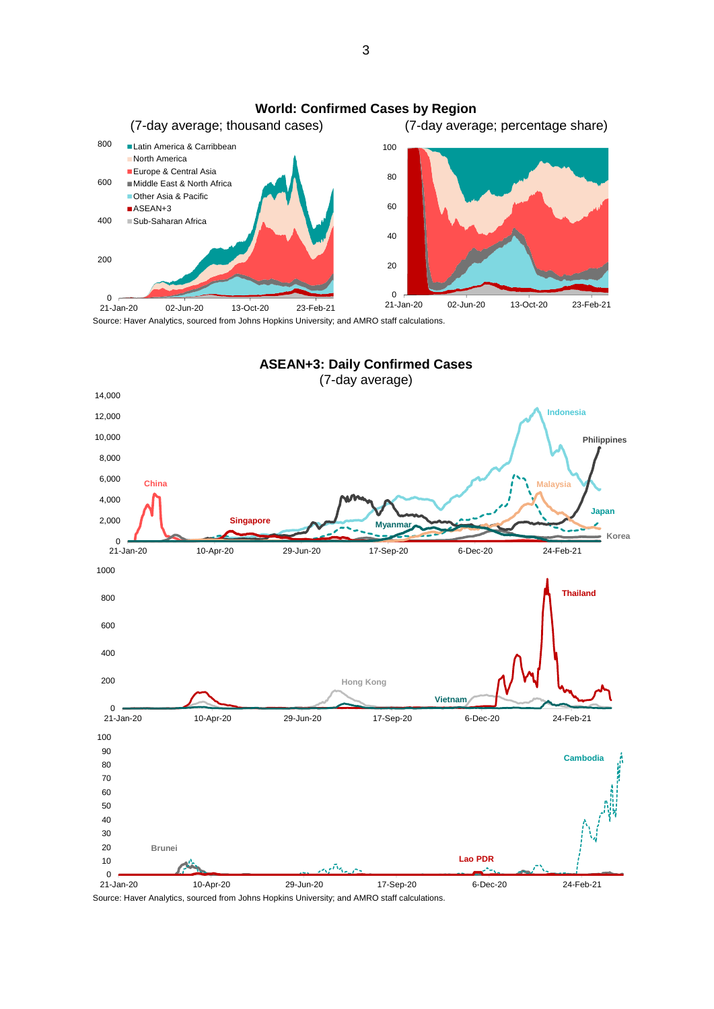

Source: Haver Analytics, sourced from Johns Hopkins University; and AMRO staff calculations.



Source: Haver Analytics, sourced from Johns Hopkins University; and AMRO staff calculations.

3